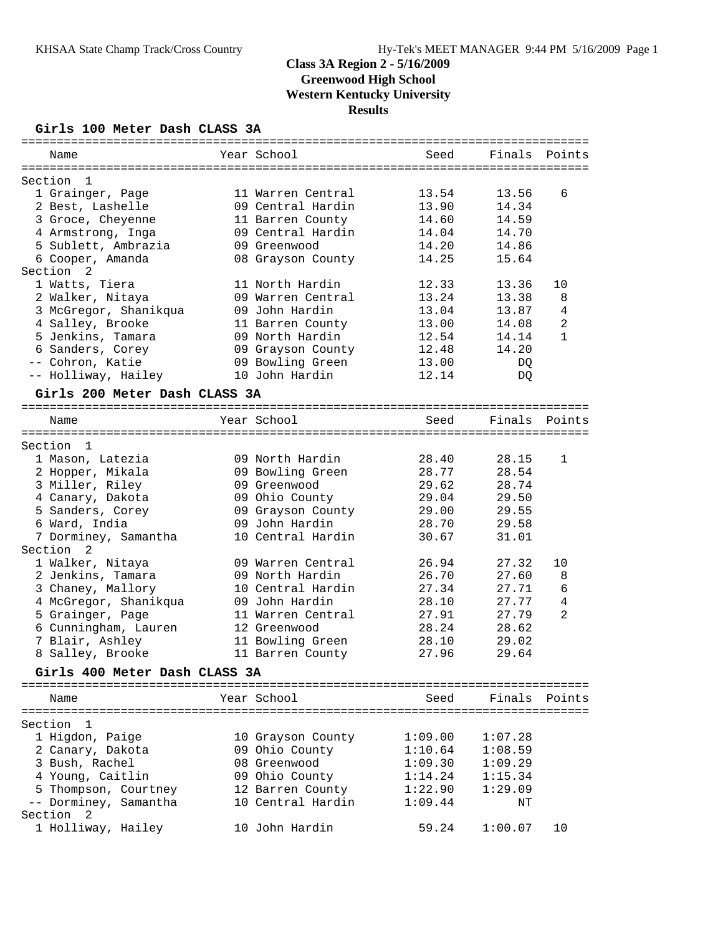### **Girls 100 Meter Dash CLASS 3A**

| Name                                  | Year School                            | Seed           | Finals         | Points       |
|---------------------------------------|----------------------------------------|----------------|----------------|--------------|
|                                       |                                        |                |                |              |
| Section<br>1                          |                                        |                |                | 6            |
| 1 Grainger, Page                      | 11 Warren Central<br>09 Central Hardin | 13.54<br>13.90 | 13.56<br>14.34 |              |
| 2 Best, Lashelle<br>3 Groce, Cheyenne |                                        | 14.60          | 14.59          |              |
| 4 Armstrong, Inga                     | 11 Barren County<br>09 Central Hardin  | 14.04          | 14.70          |              |
| 5 Sublett, Ambrazia                   | 09 Greenwood                           | 14.20          | 14.86          |              |
| 6 Cooper, Amanda                      | 08 Grayson County                      | 14.25          | 15.64          |              |
| Section<br>2                          |                                        |                |                |              |
| 1 Watts, Tiera                        | 11 North Hardin                        | 12.33          | 13.36          | 10           |
| 2 Walker, Nitaya                      | 09 Warren Central                      | 13.24          | 13.38          | 8            |
| 3 McGregor, Shanikqua                 | 09 John Hardin                         | 13.04          | 13.87          | 4            |
| 4 Salley, Brooke                      | 11 Barren County                       | 13.00          | 14.08          | 2            |
| 5 Jenkins, Tamara                     | 09 North Hardin                        | 12.54          | 14.14          | $\mathbf{1}$ |
| 6 Sanders, Corey                      | 09 Grayson County                      | 12.48          | 14.20          |              |
| -- Cohron, Katie                      | 09 Bowling Green                       | 13.00          | DQ             |              |
| -- Holliway, Hailey                   | 10 John Hardin                         | 12.14          | DQ             |              |
|                                       |                                        |                |                |              |
| Girls 200 Meter Dash CLASS 3A         |                                        |                |                |              |
| Name                                  | Year School                            | Seed           | Finals         | Points       |
| Section<br>$\overline{1}$             |                                        |                |                |              |
| 1 Mason, Latezia                      | 09 North Hardin                        | 28.40          | 28.15          | 1            |
| 2 Hopper, Mikala                      | 09 Bowling Green                       | 28.77          | 28.54          |              |
| 3 Miller, Riley                       | 09 Greenwood                           | 29.62          | 28.74          |              |
| 4 Canary, Dakota                      | 09 Ohio County                         | 29.04          | 29.50          |              |
| 5 Sanders, Corey                      | 09 Grayson County                      | 29.00          | 29.55          |              |
| 6 Ward, India                         | 09 John Hardin                         | 28.70          | 29.58          |              |
| 7 Dorminey, Samantha                  | 10 Central Hardin                      | 30.67          | 31.01          |              |
| Section<br>2                          |                                        |                |                |              |
| 1 Walker, Nitaya                      | 09 Warren Central                      | 26.94          | 27.32          | 10           |
| 2 Jenkins, Tamara                     | 09 North Hardin                        | 26.70          | 27.60          | 8            |
| 3 Chaney, Mallory                     | 10 Central Hardin                      | 27.34          | 27.71          | 6            |
| 4 McGregor, Shanikqua                 | 09 John Hardin                         | 28.10          | 27.77          | 4            |
| 5 Grainger, Page                      | 11 Warren Central                      | 27.91          | 27.79          | 2            |
| 6 Cunningham, Lauren                  | 12 Greenwood                           | 28.24          | 28.62          |              |
| 7 Blair, Ashley                       | 11 Bowling Green                       | 28.10          | 29.02          |              |
| 8 Salley, Brooke                      | 11 Barren County                       | 27.96          | 29.64          |              |
| Girls 400 Meter Dash CLASS 3A         |                                        |                |                |              |
|                                       |                                        |                |                |              |
| Name                                  | Year School                            | Seed           | Finals         | Points       |
| Section<br>- 1                        |                                        |                |                |              |
| 1 Higdon, Paige                       | 10 Grayson County                      | 1:09.00        | 1:07.28        |              |
| 2 Canary, Dakota                      | 09 Ohio County                         | 1:10.64        | 1:08.59        |              |
| 3 Bush, Rachel                        | 08 Greenwood                           | 1:09.30        | 1:09.29        |              |
| 4 Young, Caitlin                      | 09 Ohio County                         | 1:14.24        | 1:15.34        |              |
| 5 Thompson, Courtney                  | 12 Barren County                       | 1:22.90        | 1:29.09        |              |
| -- Dorminey, Samantha                 | 10 Central Hardin                      | 1:09.44        | ΝT             |              |
| Section<br>2                          |                                        |                |                |              |
| 1 Holliway, Hailey                    | 10 John Hardin                         | 59.24          | 1:00.07        | 10           |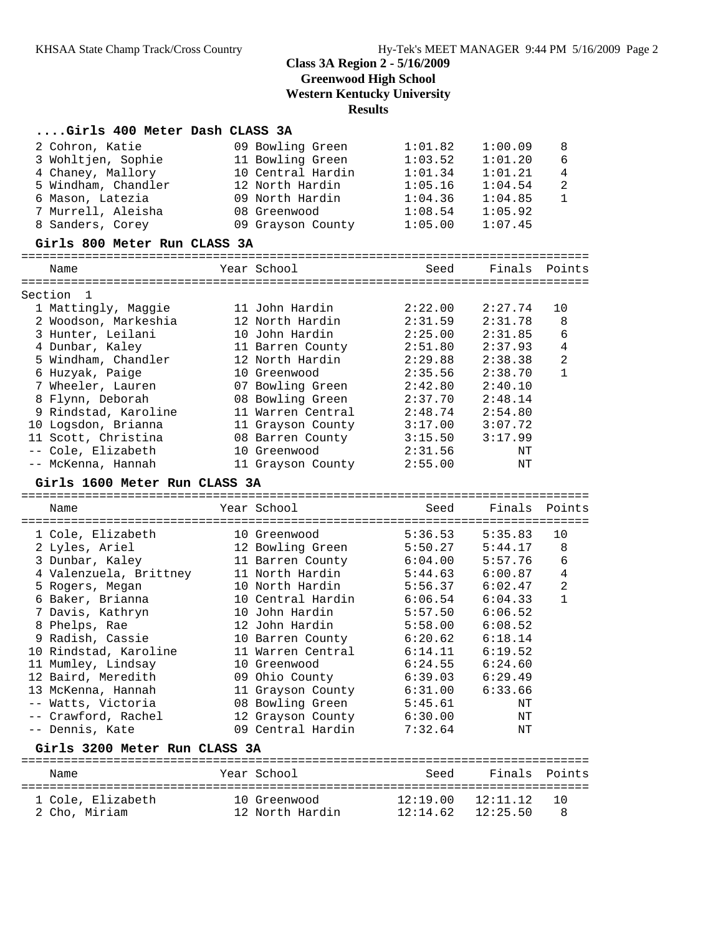## **....Girls 400 Meter Dash CLASS 3A**

| 2 Cohron, Katie                         | 09 Bowling Green                      | 1:01.82            | 1:00.09            | 8<br>6         |
|-----------------------------------------|---------------------------------------|--------------------|--------------------|----------------|
| 3 Wohltjen, Sophie                      | 11 Bowling Green<br>10 Central Hardin | 1:03.52<br>1:01.34 | 1:01.20<br>1:01.21 | 4              |
| 4 Chaney, Mallory                       | 12 North Hardin                       |                    |                    | 2              |
| 5 Windham, Chandler<br>6 Mason, Latezia | 09 North Hardin                       | 1:05.16<br>1:04.36 | 1:04.54<br>1:04.85 | $\mathbf{1}$   |
| 7 Murrell, Aleisha                      | 08 Greenwood                          | 1:08.54            | 1:05.92            |                |
| 8 Sanders, Corey                        |                                       | 1:05.00            | 1:07.45            |                |
|                                         | 09 Grayson County                     |                    |                    |                |
| Girls 800 Meter Run CLASS 3A            |                                       |                    |                    |                |
| Name                                    | Year School                           | Seed               | Finals Points      |                |
| Section 1                               |                                       |                    |                    |                |
| 1 Mattingly, Maggie                     | 11 John Hardin                        | 2:22.00            | 2:27.74            | 10             |
| 2 Woodson, Markeshia                    | 12 North Hardin                       | 2:31.59            | 2:31.78            | 8              |
| 3 Hunter, Leilani                       | 10 John Hardin                        | 2:25.00            | 2:31.85            | 6              |
| 4 Dunbar, Kaley                         | 11 Barren County                      | 2:51.80            | 2:37.93            | $\overline{4}$ |
| 5 Windham, Chandler                     | 12 North Hardin                       | 2:29.88            | 2:38.38            | $\overline{a}$ |
| 6 Huzyak, Paige                         | 10 Greenwood                          | 2:35.56            | 2:38.70            | $\mathbf{1}$   |
| 7 Wheeler, Lauren                       | 07 Bowling Green                      | 2:42.80            | 2:40.10            |                |
| 8 Flynn, Deborah                        | 08 Bowling Green                      | 2:37.70            | 2:48.14            |                |
| 9 Rindstad, Karoline                    | 11 Warren Central                     | 2:48.74            | 2:54.80            |                |
| 10 Logsdon, Brianna                     | 11 Grayson County                     | 3:17.00            | 3:07.72            |                |
| 11 Scott, Christina                     | 08 Barren County                      | 3:15.50            | 3:17.99            |                |
| -- Cole, Elizabeth                      | 10 Greenwood                          | 2:31.56            | ΝT                 |                |
| -- McKenna, Hannah                      | 11 Grayson County                     | 2:55.00            | ΝT                 |                |
| Girls 1600 Meter Run CLASS 3A           |                                       |                    |                    |                |
| Name                                    | Year School                           | Seed               | Finals             | Points         |
| 1 Cole, Elizabeth                       | 10 Greenwood                          | 5:36.53            | 5:35.83            | 10             |
| 2 Lyles, Ariel                          | 12 Bowling Green                      | 5:50.27            | 5:44.17            | 8              |
| 3 Dunbar, Kaley                         | 11 Barren County                      | 6:04.00            | 5:57.76            | 6              |
| 4 Valenzuela, Brittney                  | 11 North Hardin                       | 5:44.63            | 6:00.87            | $\overline{4}$ |
| 5 Rogers, Megan                         | 10 North Hardin                       | 5:56.37            | 6:02.47            | $\overline{a}$ |
| 6 Baker, Brianna                        | 10 Central Hardin                     | 6:06.54            | 6:04.33            | $\mathbf{1}$   |
| 7 Davis, Kathryn                        | 10 John Hardin                        | 5:57.50            | 6:06.52            |                |
| 8 Phelps, Rae                           | 12 John Hardin                        | 5:58.00            | 6:08.52            |                |
| 9 Radish, Cassie                        | 10 Barren County                      | 6:20.62            | 6:18.14            |                |
| 10 Rindstad, Karoline                   | 11 Warren Central                     | 6:14.11            | 6:19.52            |                |
| 11 Mumley, Lindsay                      | 10 Greenwood                          | 6:24.55            | 6:24.60            |                |
| 12 Baird, Meredith                      | 09 Ohio County                        | 6:39.03            | 6:29.49            |                |
| 13 McKenna, Hannah                      | 11 Grayson County                     | 6:31.00            | 6:33.66            |                |
| -- Watts, Victoria                      | 08 Bowling Green                      | 5:45.61            | ΝT                 |                |
| -- Crawford, Rachel                     | 12 Grayson County                     | 6:30.00            | ΝT                 |                |
| -- Dennis, Kate                         | 09 Central Hardin                     | 7:32.64            | ΝT                 |                |
| Girls 3200 Meter Run CLASS 3A           |                                       |                    |                    |                |
| Name                                    | Year School                           | Seed               | Finals             | Points         |
|                                         |                                       |                    |                    |                |

| --------          |                 | -----                 | ------- | ------- |
|-------------------|-----------------|-----------------------|---------|---------|
|                   |                 |                       |         |         |
| 1 Cole, Elizabeth | 10 Greenwood    | 12:19.00 12:11.12 10  |         |         |
| 2 Cho, Miriam     | 12 North Hardin | $12:14.62$ $12:25.50$ |         | - 8     |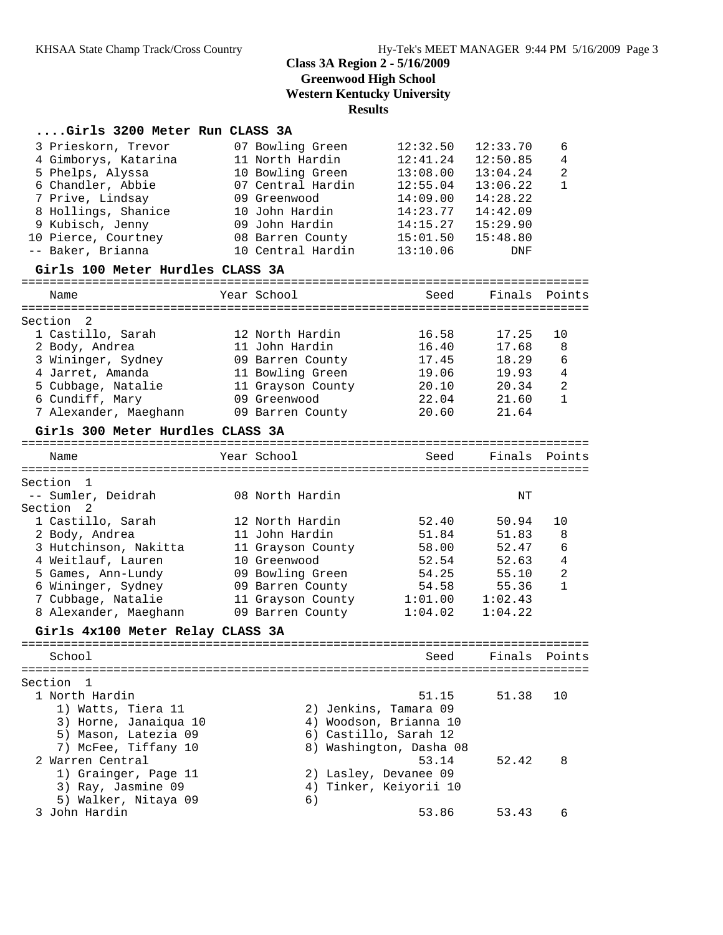## **....Girls 3200 Meter Run CLASS 3A**

| 3 Prieskorn, Trevor<br>4 Gimborys, Katarina | 07 Bowling Green<br>11 North Hardin | 12:32.50<br>12:41.24    | 12:33.70<br>12:50.85 | 6<br>4         |
|---------------------------------------------|-------------------------------------|-------------------------|----------------------|----------------|
| 5 Phelps, Alyssa                            | 10 Bowling Green                    | 13:08.00                | 13:04.24             | 2              |
| 6 Chandler, Abbie                           | 07 Central Hardin                   | 12:55.04                | 13:06.22             | $\mathbf{1}$   |
| 7 Prive, Lindsay                            | 09 Greenwood                        | 14:09.00                | 14:28.22             |                |
| 8 Hollings, Shanice                         | 10 John Hardin                      | 14:23.77                | 14:42.09             |                |
| 9 Kubisch, Jenny                            | 09 John Hardin                      | 14:15.27                | 15:29.90             |                |
| 10 Pierce, Courtney                         | 08 Barren County                    | 15:01.50                | 15:48.80             |                |
| -- Baker, Brianna                           | 10 Central Hardin                   | 13:10.06                | DNF                  |                |
| Girls 100 Meter Hurdles CLASS 3A            |                                     |                         |                      |                |
| Name                                        | Year School                         | Seed                    | Finals               | Points         |
| Section<br>-2                               |                                     |                         |                      |                |
| 1 Castillo, Sarah                           | 12 North Hardin                     | 16.58                   | 17.25                | 10             |
| 2 Body, Andrea                              | 11 John Hardin                      | 16.40                   | 17.68                | 8              |
| 3 Wininger, Sydney                          | 09 Barren County                    | 17.45                   | 18.29                | 6              |
| 4 Jarret, Amanda                            | 11 Bowling Green                    | 19.06                   | 19.93                | $\overline{4}$ |
| 5 Cubbage, Natalie                          | 11 Grayson County                   | 20.10                   | 20.34                | 2              |
| 6 Cundiff, Mary                             | 09 Greenwood                        | 22.04                   | 21.60                | $\mathbf{1}$   |
| 7 Alexander, Maeghann                       | 09 Barren County                    | 20.60                   | 21.64                |                |
| Girls 300 Meter Hurdles CLASS 3A            |                                     |                         |                      |                |
| Name                                        | Year School                         | Seed                    | Finals               | Points         |
|                                             |                                     |                         |                      |                |
| Section<br>$\mathbf{1}$                     |                                     |                         |                      |                |
| -- Sumler, Deidrah                          | 08 North Hardin                     |                         | $_{\rm NT}$          |                |
| 2<br>Section                                |                                     |                         |                      |                |
| 1 Castillo, Sarah                           | 12 North Hardin                     | 52.40                   | 50.94                | 10             |
| 2 Body, Andrea                              | 11 John Hardin                      | 51.84                   | 51.83                | 8              |
| 3 Hutchinson, Nakitta                       | 11 Grayson County                   | 58.00                   | 52.47                | 6              |
| 4 Weitlauf, Lauren                          | 10 Greenwood                        | 52.54                   | 52.63                | $\overline{4}$ |
| 5 Games, Ann-Lundy                          | 09 Bowling Green                    | 54.25                   | 55.10                | $\overline{a}$ |
| 6 Wininger, Sydney                          | 09 Barren County                    | 54.58                   | 55.36                | $\mathbf{1}$   |
| 7 Cubbage, Natalie                          | 11 Grayson County                   | 1:01.00                 | 1:02.43              |                |
| 8 Alexander, Maeghann                       | 09 Barren County                    | 1:04.02                 | 1:04.22              |                |
| Girls 4x100 Meter Relay CLASS 3A            |                                     |                         |                      |                |
| School                                      |                                     | Seed                    | Finals Points        |                |
|                                             |                                     |                         |                      |                |
| Section<br>1                                |                                     |                         |                      |                |
| 1 North Hardin                              |                                     | 51.15                   | 51.38                | 10             |
| 1) Watts, Tiera 11                          | 2) Jenkins, Tamara 09               |                         |                      |                |
| 3) Horne, Janaiqua 10                       |                                     | 4) Woodson, Brianna 10  |                      |                |
| 5) Mason, Latezia 09                        | 6) Castillo, Sarah 12               |                         |                      |                |
| 7) McFee, Tiffany 10                        |                                     | 8) Washington, Dasha 08 |                      |                |
| 2 Warren Central                            |                                     | 53.14                   | 52.42                | 8              |
| 1) Grainger, Page 11                        | 2) Lasley, Devanee 09               |                         |                      |                |
| 3) Ray, Jasmine 09                          | 4)                                  | Tinker, Keiyorii 10     |                      |                |
| 5) Walker, Nitaya 09                        | 6)                                  |                         |                      |                |
| 3 John Hardin                               |                                     | 53.86                   | 53.43                | 6              |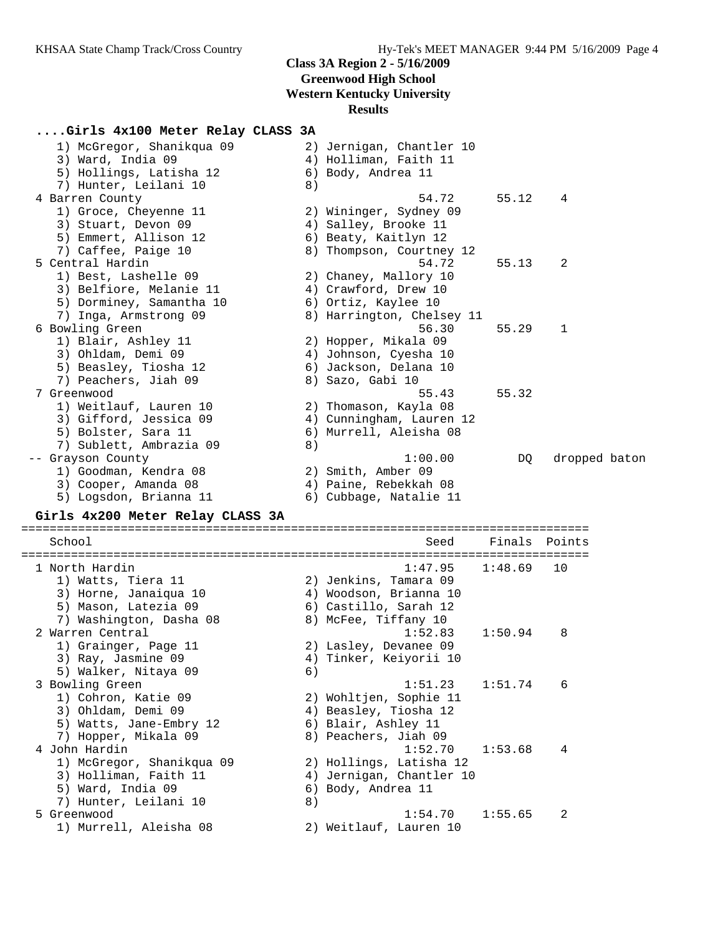## **....Girls 4x100 Meter Relay CLASS 3A**

| 1) McGregor, Shanikqua 09 |    | 2) Jernigan, Chantler 10  |       |               |
|---------------------------|----|---------------------------|-------|---------------|
| 3) Ward, India 09         |    | 4) Holliman, Faith 11     |       |               |
| 5) Hollings, Latisha 12   |    | 6) Body, Andrea 11        |       |               |
| 7) Hunter, Leilani 10     | 8) |                           |       |               |
| 4 Barren County           |    | 54.72                     | 55.12 | 4             |
| 1) Groce, Cheyenne 11     |    | 2) Wininger, Sydney 09    |       |               |
| 3) Stuart, Devon 09       |    | 4) Salley, Brooke 11      |       |               |
| 5) Emmert, Allison 12     |    | 6) Beaty, Kaitlyn 12      |       |               |
| 7) Caffee, Paige 10       |    | 8) Thompson, Courtney 12  |       |               |
| 5 Central Hardin          |    | 54.72                     | 55.13 | 2             |
| 1) Best, Lashelle 09      |    | 2) Chaney, Mallory 10     |       |               |
| 3) Belfiore, Melanie 11   |    | 4) Crawford, Drew 10      |       |               |
| 5) Dorminey, Samantha 10  |    | 6) Ortiz, Kaylee 10       |       |               |
| 7) Inga, Armstrong 09     |    | 8) Harrington, Chelsey 11 |       |               |
| 6 Bowling Green           |    | 56.30                     | 55.29 | 1             |
| 1) Blair, Ashley 11       |    | 2) Hopper, Mikala 09      |       |               |
| 3) Ohldam, Demi 09        |    | 4) Johnson, Cyesha 10     |       |               |
| 5) Beasley, Tiosha 12     |    | 6) Jackson, Delana 10     |       |               |
| 7) Peachers, Jiah 09      |    | 8) Sazo, Gabi 10          |       |               |
| 7 Greenwood               |    | 55.43                     | 55.32 |               |
| 1) Weitlauf, Lauren 10    |    | 2) Thomason, Kayla 08     |       |               |
| 3) Gifford, Jessica 09    |    | 4) Cunningham, Lauren 12  |       |               |
| 5) Bolster, Sara 11       |    | 6) Murrell, Aleisha 08    |       |               |
| 7) Sublett, Ambrazia 09   | 8) |                           |       |               |
| -- Grayson County         |    | 1:00.00                   | DO.   | dropped baton |
| 1) Goodman, Kendra 08     |    | 2) Smith, Amber 09        |       |               |
| 3) Cooper, Amanda 08      |    | 4) Paine, Rebekkah 08     |       |               |
| 5) Logsdon, Brianna 11    |    | 6) Cubbage, Natalie 11    |       |               |
|                           |    |                           |       |               |

#### **Girls 4x200 Meter Relay CLASS 3A**

================================================================================ School Seed Finals Points ================================================================================ 1 North Hardin 1:47.95 1:48.69 10 1) Watts, Tiera 11 2) Jenkins, Tamara 09 3) Horne, Janaiqua 10 4) Woodson, Brianna 10 5) Mason, Latezia 09 6) Castillo, Sarah 12 7) Washington, Dasha 08 8) McFee, Tiffany 10 2 Warren Central 1:52.83 1:50.94 8 1) Grainger, Page 11 2) Lasley, Devanee 09 3) Ray, Jasmine 09 4) Tinker, Keiyorii 10 5) Walker, Nitaya 09 (6) 3 Bowling Green 1:51.23 1:51.74 6 1) Cohron, Katie 09 2) Wohltjen, Sophie 11 3) Ohldam, Demi 09 4) Beasley, Tiosha 12 5) Watts, Jane-Embry 12 (6) Blair, Ashley 11 7) Hopper, Mikala 09 8) Peachers, Jiah 09 4 John Hardin 1:52.70 1:53.68 4 1) McGregor, Shanikqua 09 2) Hollings, Latisha 12 3) Holliman, Faith 11 4) Jernigan, Chantler 10 5) Ward, India 09 6) Body, Andrea 11 7) Hunter, Leilani 10 (8)<br>5 Greenwood  $1:54.70$   $1:55.65$  2 1) Murrell, Aleisha 08 2) Weitlauf, Lauren 10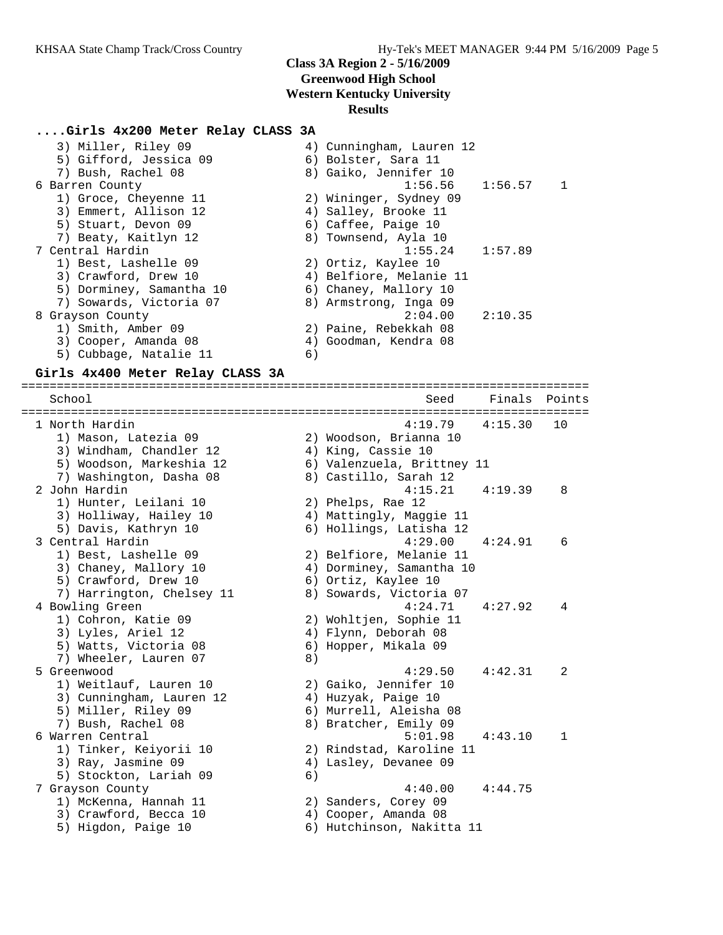## **....Girls 4x200 Meter Relay CLASS 3A**

| 4) Cunningham, Lauren 12 |              |
|--------------------------|--------------|
| 6) Bolster, Sara 11      |              |
| 8) Gaiko, Jennifer 10    |              |
| $1:56.56$ $1:56.57$      | $\mathbf{1}$ |
| 2) Wininger, Sydney 09   |              |
| 4) Salley, Brooke 11     |              |
| 6) Caffee, Paige 10      |              |
| 8) Townsend, Ayla 10     |              |
| 1:57.89<br>1:55.24       |              |
| 2) Ortiz, Kaylee 10      |              |
| 4) Belfiore, Melanie 11  |              |
| 6) Chaney, Mallory 10    |              |
| 8) Armstrong, Inga 09    |              |
| 2:04.00<br>2:10.35       |              |
| 2) Paine, Rebekkah 08    |              |
| 4) Goodman, Kendra 08    |              |
| 6)                       |              |
|                          |              |

#### **Girls 4x400 Meter Relay CLASS 3A**

================================================================================ School Seed Finals Points ================================================================================ 1 North Hardin 4:19.79 4:15.30 10 1) Mason, Latezia 09 2) Woodson, Brianna 10 3) Windham, Chandler 12 (4) King, Cassie 10 5) Woodson, Markeshia 12 6) Valenzuela, Brittney 11 7) Washington, Dasha 08 8) Castillo, Sarah 12 2 John Hardin 4:15.21 4:19.39 8 1) Hunter, Leilani 10 2) Phelps, Rae 12 3) Holliway, Hailey 10 4) Mattingly, Maggie 11 5) Davis, Kathryn 10 6) Hollings, Latisha 12 3 Central Hardin 4:29.00 4:24.91 6 1) Best, Lashelle 09 2) Belfiore, Melanie 11 3) Chaney, Mallory 10 4) Dorminey, Samantha 10 5) Crawford, Drew 10 6) Ortiz, Kaylee 10 7) Harrington, Chelsey 11 8) Sowards, Victoria 07 4 Bowling Green 4:24.71 4:27.92 4 1) Cohron, Katie 09 2) Wohltjen, Sophie 11 3) Lyles, Ariel 12 4) Flynn, Deborah 08 5) Watts, Victoria 08 (6) Hopper, Mikala 09 7) Wheeler, Lauren 07 (8) 5 Greenwood 4:29.50 4:42.31 2 1) Weitlauf, Lauren 10 2) Gaiko, Jennifer 10 3) Cunningham, Lauren 12 4) Huzyak, Paige 10 5) Miller, Riley 09 6) Murrell, Aleisha 08 7) Bush, Rachel 08 8) Bratcher, Emily 09 6 Warren Central 5:01.98 4:43.10 1 1) Tinker, Keiyorii 10 2) Rindstad, Karoline 11 3) Ray, Jasmine 09 4) Lasley, Devanee 09 5) Stockton, Lariah 09 (6) 7 Grayson County 4:40.00 4:44.75 1) McKenna, Hannah 11 2) Sanders, Corey 09 3) Crawford, Becca 10 (4) Cooper, Amanda 08 5) Higdon, Paige 10 6) Hutchinson, Nakitta 11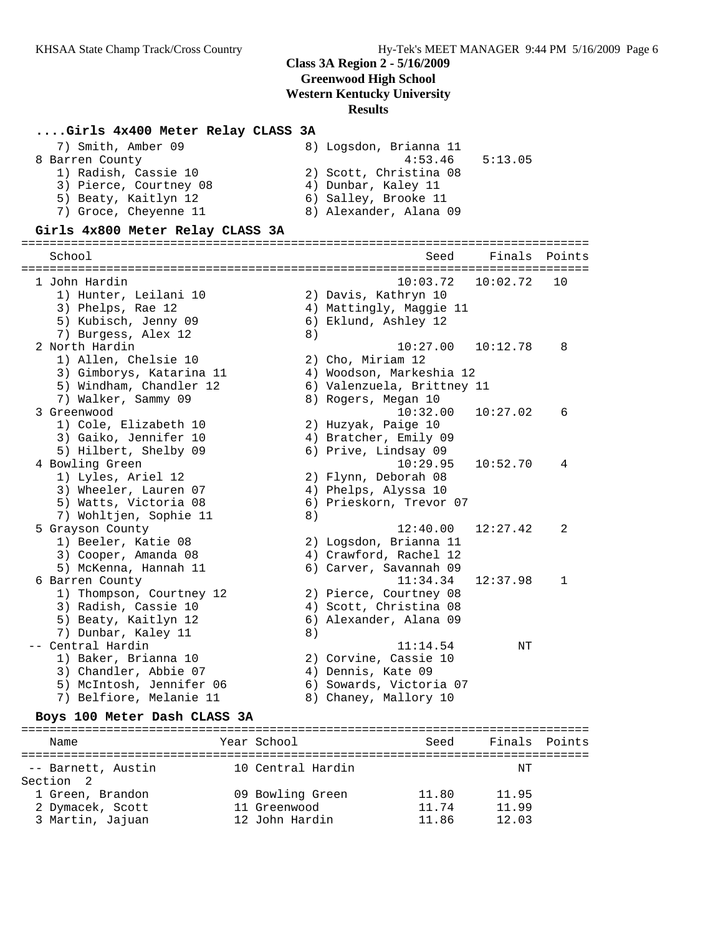#### **....Girls 4x400 Meter Relay CLASS 3A**

| 7) Smith, Amber 09     | 8) Logsdon, Brianna 11 |
|------------------------|------------------------|
| 8 Barren County        | 4:53.46<br>5:13.05     |
| 1) Radish, Cassie 10   | 2) Scott, Christina 08 |
| 3) Pierce, Courtney 08 | 4) Dunbar, Kaley 11    |
| 5) Beaty, Kaitlyn 12   | 6) Salley, Brooke 11   |
| 7) Groce, Cheyenne 11  | 8) Alexander, Alana 09 |

#### **Girls 4x800 Meter Relay CLASS 3A**

================================================================================ School Seed Finals Points ================================================================================ 1 John Hardin 10:03.72 10:02.72 10 1) Hunter, Leilani 10 2) Davis, Kathryn 10 3) Phelps, Rae 12 4) Mattingly, Maggie 11 5) Kubisch, Jenny 09 6) Eklund, Ashley 12 7) Burgess, Alex 12 (8) 2 North Hardin 10:27.00 10:12.78 8 1) Allen, Chelsie 10 2) Cho, Miriam 12 3) Gimborys, Katarina 11 4) Woodson, Markeshia 12 5) Windham, Chandler 12 6) Valenzuela, Brittney 11 7) Walker, Sammy 09 8) Rogers, Megan 10 3 Greenwood 10:32.00 10:27.02 6 1) Cole, Elizabeth 10 2) Huzyak, Paige 10 3) Gaiko, Jennifer 10 4) Bratcher, Emily 09 5) Hilbert, Shelby 09 6) Prive, Lindsay 09 4 Bowling Green 10:29.95 10:52.70 4 1) Lyles, Ariel 12 2) Flynn, Deborah 08 3) Wheeler, Lauren 07 (4) Phelps, Alyssa 10 5) Watts, Victoria 08 6) Prieskorn, Trevor 07 7) Wohltjen, Sophie 11 and 8) 5 Grayson County 12:40.00 12:27.42 2 1) Beeler, Katie 08 2) Logsdon, Brianna 11 3) Cooper, Amanda 08 4) Crawford, Rachel 12 5) McKenna, Hannah 11 6) Carver, Savannah 09 6 Barren County 11:34.34 12:37.98 1 1) Thompson, Courtney 12 2) Pierce, Courtney 08 3) Radish, Cassie 10 4) Scott, Christina 08 5) Beaty, Kaitlyn 12 6) Alexander, Alana 09 7) Dunbar, Kaley 11 8) -- Central Hardin NT (11:14.54 NT) 1) Baker, Brianna 10 2) Corvine, Cassie 10 3) Chandler, Abbie 07 (4) Dennis, Kate 09 5) McIntosh, Jennifer 06 6) Sowards, Victoria 07 7) Belfiore, Melanie 11 8) Chaney, Mallory 10

#### **Boys 100 Meter Dash CLASS 3A**

| Name                                                     | Year School                                        | Seed                    | Finals Points           |  |
|----------------------------------------------------------|----------------------------------------------------|-------------------------|-------------------------|--|
| -- Barnett, Austin<br>Section 2                          | 10 Central Hardin                                  |                         | NΤ                      |  |
| 1 Green, Brandon<br>2 Dymacek, Scott<br>3 Martin, Jajuan | 09 Bowling Green<br>11 Greenwood<br>12 John Hardin | 11.80<br>11.74<br>11.86 | 11.95<br>11.99<br>12.03 |  |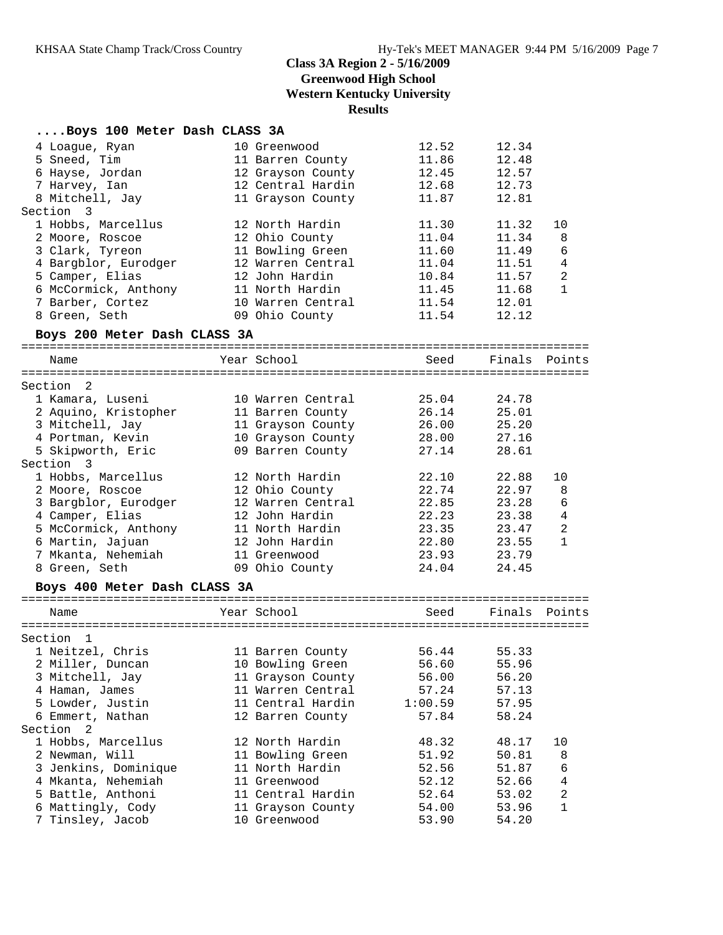#### **....Boys 100 Meter Dash CLASS 3A**

| 4 Loaque, Ryan       | 10 Greenwood      | 12.52 | 12.34 |                |
|----------------------|-------------------|-------|-------|----------------|
| 5 Sneed, Tim         | 11 Barren County  | 11.86 | 12.48 |                |
| 6 Hayse, Jordan      | 12 Grayson County | 12.45 | 12.57 |                |
| 7 Harvey, Ian        | 12 Central Hardin | 12.68 | 12.73 |                |
| 8 Mitchell, Jay      | 11 Grayson County | 11.87 | 12.81 |                |
| Section 3            |                   |       |       |                |
| 1 Hobbs, Marcellus   | 12 North Hardin   | 11.30 | 11.32 | 10             |
| 2 Moore, Roscoe      | 12 Ohio County    | 11.04 | 11.34 | - 8            |
| 3 Clark, Tyreon      | 11 Bowling Green  | 11.60 | 11.49 | 6              |
| 4 Bargblor, Eurodger | 12 Warren Central | 11.04 | 11.51 | $\overline{4}$ |
| 5 Camper, Elias      | 12 John Hardin    | 10.84 | 11.57 | $\overline{2}$ |
| 6 McCormick, Anthony | 11 North Hardin   | 11.45 | 11.68 | $\mathbf{1}$   |
| 7 Barber, Cortez     | 10 Warren Central | 11.54 | 12.01 |                |
| 8 Green, Seth        | 09 Ohio County    | 11.54 | 12.12 |                |

#### **Boys 200 Meter Dash CLASS 3A**

================================================================================ Name The Year School Seed Finals Points ================================================================================ Section 2 1 Kamara, Luseni 10 Warren Central 25.04 24.78 2 Aquino, Kristopher 11 Barren County 26.14 25.01 3 Mitchell, Jay 11 Grayson County 26.00 25.20 4 Portman, Kevin 10 Grayson County 28.00 27.16 5 Skipworth, Eric 09 Barren County 27.14 28.61 Section 3 1 Hobbs, Marcellus 12 North Hardin 22.10 22.88 10 2 Moore, Roscoe 12 Ohio County 22.74 22.97 8 3 Bargblor, Eurodger 12 Warren Central 22.85 23.28 6 4 Camper, Elias 12 John Hardin 22.23 23.38 4 5 McCormick, Anthony 11 North Hardin 23.35 23.47 2 6 Martin, Jajuan 12 John Hardin 22.80 23.55 1 7 Mkanta, Nehemiah 11 Greenwood 23.93 23.79 8 Green, Seth 09 Ohio County 24.04 24.45

#### **Boys 400 Meter Dash CLASS 3A**

| Name                 | Year School       | Seed    | Finals Points |                |
|----------------------|-------------------|---------|---------------|----------------|
| Section 1            |                   |         |               |                |
| 1 Neitzel, Chris     | 11 Barren County  | 56.44   | 55.33         |                |
| 2 Miller, Duncan     | 10 Bowling Green  | 56.60   | 55.96         |                |
| 3 Mitchell, Jay      | 11 Grayson County | 56.00   | 56.20         |                |
| 4 Haman, James       | 11 Warren Central | 57.24   | 57.13         |                |
| 5 Lowder, Justin     | 11 Central Hardin | 1:00.59 | 57.95         |                |
| 6 Emmert, Nathan     | 12 Barren County  | 57.84   | 58.24         |                |
| Section 2            |                   |         |               |                |
| 1 Hobbs, Marcellus   | 12 North Hardin   | 48.32   | 48.17         | 10             |
| 2 Newman, Will       | 11 Bowling Green  | 51.92   | 50.81         | 8              |
| 3 Jenkins, Dominique | 11 North Hardin   | 52.56   | 51.87         | 6              |
| 4 Mkanta, Nehemiah   | 11 Greenwood      | 52.12   | 52.66         | 4              |
| 5 Battle, Anthoni    | 11 Central Hardin | 52.64   | 53.02         | $\overline{2}$ |
| 6 Mattingly, Cody    | 11 Grayson County | 54.00   | 53.96         | $\mathbf{1}$   |
| 7 Tinsley, Jacob     | 10 Greenwood      | 53.90   | 54.20         |                |
|                      |                   |         |               |                |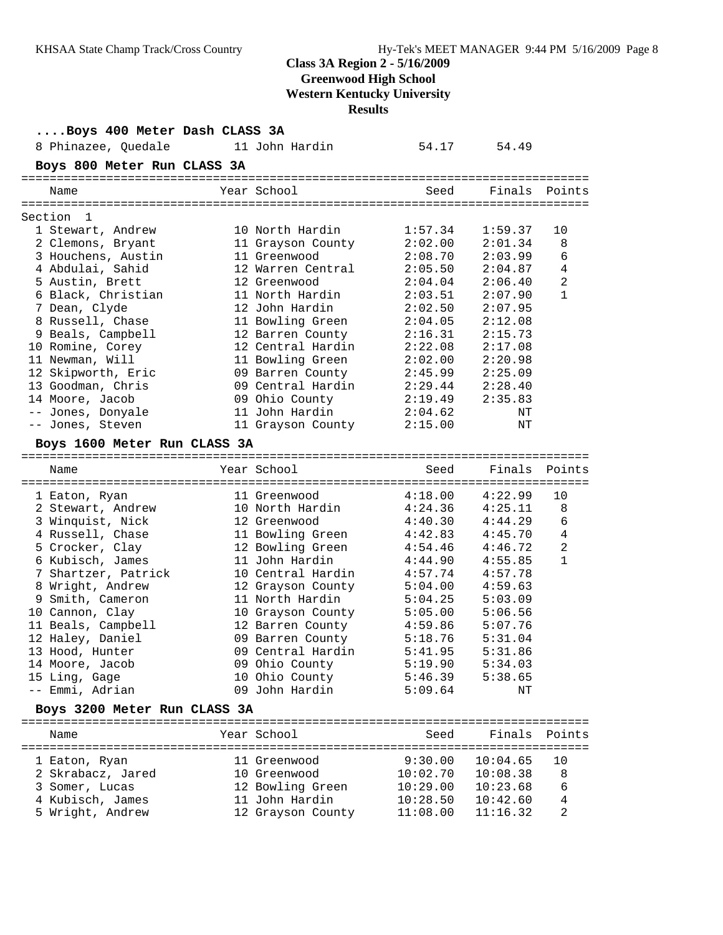# **Class 3A Region 2 - 5/16/2009 Greenwood High School**

**Western Kentucky University**

**Results**

| Boys 400 Meter Dash CLASS 3A |  |                   |          |          |                |
|------------------------------|--|-------------------|----------|----------|----------------|
| 8 Phinazee, Quedale          |  | 11 John Hardin    | 54.17    | 54.49    |                |
| Boys 800 Meter Run CLASS 3A  |  |                   |          |          |                |
| Name                         |  | Year School       | Seed     | Finals   | Points         |
| Section<br>1                 |  |                   |          |          |                |
| 1 Stewart, Andrew            |  | 10 North Hardin   | 1:57.34  | 1:59.37  | 10             |
| 2 Clemons, Bryant            |  | 11 Grayson County | 2:02.00  | 2:01.34  | 8              |
| 3 Houchens, Austin           |  | 11 Greenwood      | 2:08.70  | 2:03.99  | 6              |
| 4 Abdulai, Sahid             |  | 12 Warren Central | 2:05.50  | 2:04.87  | 4              |
| 5 Austin, Brett              |  | 12 Greenwood      | 2:04.04  | 2:06.40  | $\overline{2}$ |
| 6 Black, Christian           |  | 11 North Hardin   | 2:03.51  | 2:07.90  | $\mathbf{1}$   |
| 7 Dean, Clyde                |  | 12 John Hardin    | 2:02.50  | 2:07.95  |                |
| 8 Russell, Chase             |  | 11 Bowling Green  | 2:04.05  | 2:12.08  |                |
| 9 Beals, Campbell            |  | 12 Barren County  | 2:16.31  | 2:15.73  |                |
| 10 Romine, Corey             |  | 12 Central Hardin | 2:22.08  | 2:17.08  |                |
| 11 Newman, Will              |  | 11 Bowling Green  | 2:02.00  | 2:20.98  |                |
| 12 Skipworth, Eric           |  | 09 Barren County  | 2:45.99  | 2:25.09  |                |
| 13 Goodman, Chris            |  | 09 Central Hardin | 2:29.44  | 2:28.40  |                |
| 14 Moore, Jacob              |  | 09 Ohio County    | 2:19.49  | 2:35.83  |                |
| -- Jones, Donyale            |  | 11 John Hardin    | 2:04.62  | ΝT       |                |
| -- Jones, Steven             |  | 11 Grayson County | 2:15.00  | ΝT       |                |
| Boys 1600 Meter Run CLASS 3A |  |                   |          |          |                |
| Name                         |  | Year School       | Seed     | Finals   | Points         |
| 1 Eaton, Ryan                |  | 11 Greenwood      | 4:18.00  | 4:22.99  | 10             |
| 2 Stewart, Andrew            |  | 10 North Hardin   | 4:24.36  | 4:25.11  | 8              |
| 3 Winquist, Nick             |  | 12 Greenwood      | 4:40.30  | 4:44.29  | 6              |
| 4 Russell, Chase             |  | 11 Bowling Green  | 4:42.83  | 4:45.70  | $\overline{4}$ |
| 5 Crocker, Clay              |  | 12 Bowling Green  | 4:54.46  | 4:46.72  | $\overline{2}$ |
| 6 Kubisch, James             |  | 11 John Hardin    | 4:44.90  | 4:55.85  | $\mathbf{1}$   |
| 7 Shartzer, Patrick          |  | 10 Central Hardin | 4:57.74  | 4:57.78  |                |
| 8 Wright, Andrew             |  | 12 Grayson County | 5:04.00  | 4:59.63  |                |
| 9 Smith, Cameron             |  | 11 North Hardin   | 5:04.25  | 5:03.09  |                |
| 10 Cannon, Clay              |  | 10 Grayson County | 5:05.00  | 5:06.56  |                |
| 11 Beals, Campbell           |  | 12 Barren County  | 4:59.86  | 5:07.76  |                |
| 12 Haley, Daniel             |  | 09 Barren County  | 5:18.76  | 5:31.04  |                |
| 13 Hood, Hunter              |  | 09 Central Hardin | 5:41.95  | 5:31.86  |                |
| 14 Moore, Jacob              |  | 09 Ohio County    | 5:19.90  | 5:34.03  |                |
| 15 Ling, Gage                |  | 10 Ohio County    | 5:46.39  | 5:38.65  |                |
| -- Emmi, Adrian              |  | 09 John Hardin    | 5:09.64  | ΝT       |                |
| Boys 3200 Meter Run CLASS 3A |  |                   |          |          |                |
| Name                         |  | Year School       | Seed     | Finals   | Points         |
| 1 Eaton, Ryan                |  | 11 Greenwood      | 9:30.00  | 10:04.65 | 10             |
| 2 Skrabacz, Jared            |  | 10 Greenwood      | 10:02.70 | 10:08.38 | 8              |
| 3 Somer, Lucas               |  | 12 Bowling Green  | 10:29.00 | 10:23.68 | 6              |
| 4 Kubisch, James             |  | 11 John Hardin    | 10:28.50 | 10:42.60 | 4              |
| 5 Wright, Andrew             |  | 12 Grayson County | 11:08.00 | 11:16.32 | 2              |
|                              |  |                   |          |          |                |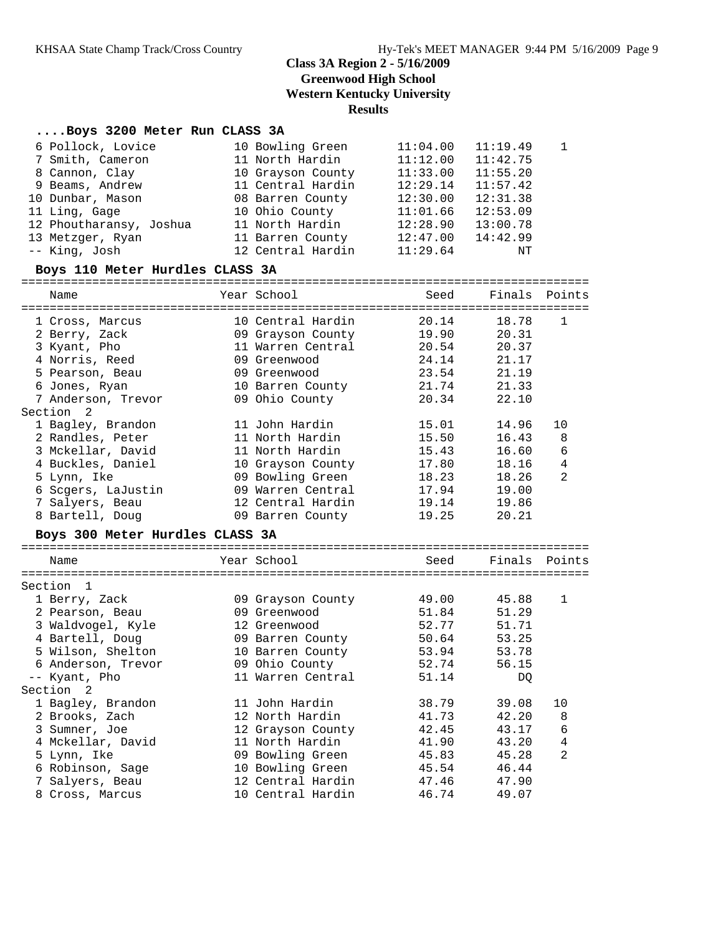## **....Boys 3200 Meter Run CLASS 3A**

| 6 Pollock, Lovice       | 10 Bowling Green  | 11:04.00 | 11:19.49 | $\overline{1}$ |
|-------------------------|-------------------|----------|----------|----------------|
| 7 Smith, Cameron        | 11 North Hardin   | 11:12.00 | 11:42.75 |                |
| 8 Cannon, Clay          | 10 Grayson County | 11:33.00 | 11:55.20 |                |
| 9 Beams, Andrew         | 11 Central Hardin | 12:29.14 | 11:57.42 |                |
| 10 Dunbar, Mason        | 08 Barren County  | 12:30.00 | 12:31.38 |                |
| 11 Ling, Gage           | 10 Ohio County    | 11:01.66 | 12:53.09 |                |
| 12 Phoutharansy, Joshua | 11 North Hardin   | 12:28.90 | 13:00.78 |                |
| 13 Metzger, Ryan        | 11 Barren County  | 12:47.00 | 14:42.99 |                |
| -- King, Josh           | 12 Central Hardin | 11:29.64 | ΝT       |                |

#### **Boys 110 Meter Hurdles CLASS 3A**

================================================================================ Name Year School Seed Finals Points

| 1 Cross, Marcus<br>2 Berry, Zack<br>3 Kyant, Pho<br>4 Norris, Reed<br>5 Pearson, Beau<br>6 Jones, Ryan<br>7 Anderson, Trevor<br>Section <sub>2</sub><br>1 Bagley, Brandon<br>2 Randles, Peter | 10 Central Hardin<br>09 Grayson County 19.90 20.31<br>11 Warren Central 20.54<br>09 Greenwood<br>09 Greenwood<br>10 Barren County 21.74 21.33<br>09 Ohio County<br>11 John Hardin<br>11 North Hardin | 20.14<br>24.14 21.17<br>23.54<br>20.34 22.10<br>15.01<br>15.50       | 18.78<br>20.37<br>21.19<br>14.96<br>16.43 | $\mathbf{1}$<br>10<br>$\,8\,$                  |
|-----------------------------------------------------------------------------------------------------------------------------------------------------------------------------------------------|------------------------------------------------------------------------------------------------------------------------------------------------------------------------------------------------------|----------------------------------------------------------------------|-------------------------------------------|------------------------------------------------|
| 3 Mckellar, David<br>4 Buckles, Daniel<br>5 Lynn, Ike<br>6 Scgers, LaJustin<br>7 Salyers, Beau<br>8 Bartell, Doug                                                                             | 11 North Hardin<br>10 Grayson County<br>09 Bowling Green<br>09 Warren Central<br>12 Central Hardin<br>09 Barren County                                                                               | 15.43<br>17.80<br>18.23<br>17.94 19.00<br>19.14 19.86<br>19.25 20.21 | 16.60<br>18.16<br>18.26                   | $\sqrt{6}$<br>$\overline{4}$<br>$\overline{2}$ |
| Boys 300 Meter Hurdles CLASS 3A<br>Name                                                                                                                                                       | Year School                                                                                                                                                                                          |                                                                      | Seed Finals Points                        |                                                |
|                                                                                                                                                                                               |                                                                                                                                                                                                      |                                                                      |                                           |                                                |
| Section 1<br>1 Berry, Zack<br>2 Pearson, Beau<br>3 Waldvogel, Kyle<br>4 Bartell, Doug<br>5 Wilson, Shelton<br>6 Anderson, Trevor<br>-- Kyant, Pho                                             | 09 Grayson County<br>09 Greenwood<br>12 Greenwood<br>09 Barren County<br>10 Barren County<br>09 Ohio County 52.74<br>11 Warren Central                                                               | 49.00 45.88<br>51.84<br>52.77<br>50.64<br>53.94 53.78<br>51.14       | 51.29<br>51.71<br>53.25<br>56.15<br>DQ    | $\mathbf{1}$                                   |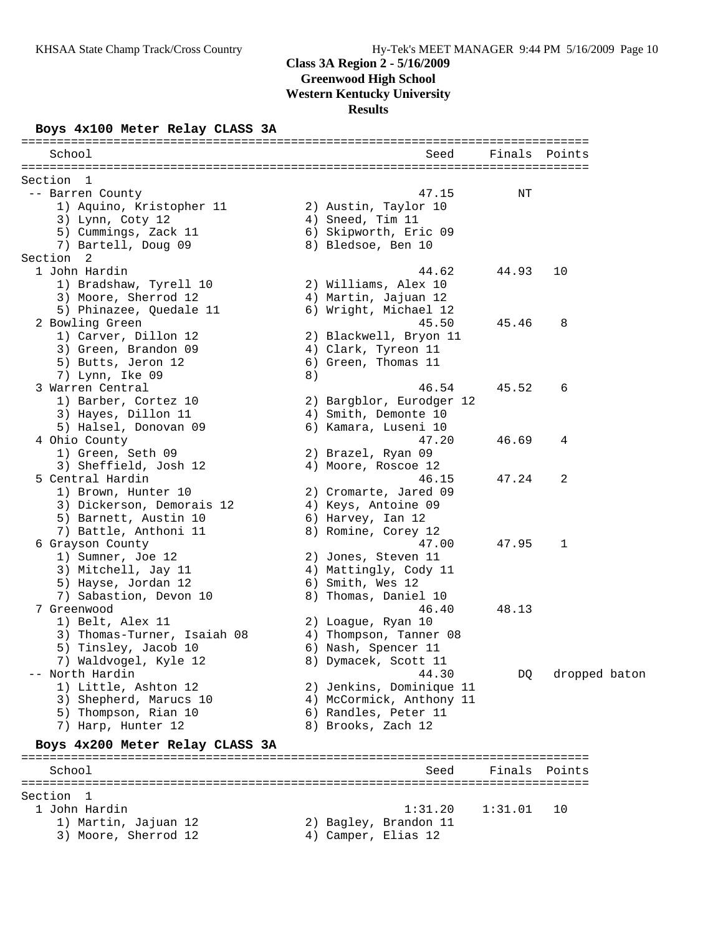# **Class 3A Region 2 - 5/16/2009**

**Greenwood High School**

**Western Kentucky University**

**Results**

### **Boys 4x100 Meter Relay CLASS 3A**

| School                                       |    | Seed                                      | Finals  | Points        |
|----------------------------------------------|----|-------------------------------------------|---------|---------------|
|                                              |    |                                           |         |               |
| Section<br>- 1                               |    |                                           |         |               |
| -- Barren County<br>1) Aquino, Kristopher 11 |    | 47.15                                     | NΤ      |               |
| 3) Lynn, Coty 12                             |    | 2) Austin, Taylor 10<br>4) Sneed, Tim 11  |         |               |
| 5) Cummings, Zack 11                         |    | 6) Skipworth, Eric 09                     |         |               |
| 7) Bartell, Doug 09                          |    | 8) Bledsoe, Ben 10                        |         |               |
| Section 2                                    |    |                                           |         |               |
| 1 John Hardin                                |    | 44.62                                     | 44.93   | 10            |
| 1) Bradshaw, Tyrell 10                       |    | 2) Williams, Alex 10                      |         |               |
| 3) Moore, Sherrod 12                         |    | 4) Martin, Jajuan 12                      |         |               |
| 5) Phinazee, Quedale 11                      |    | 6) Wright, Michael 12                     |         |               |
| 2 Bowling Green                              |    | 45.50                                     | 45.46   | 8             |
| 1) Carver, Dillon 12                         |    | 2) Blackwell, Bryon 11                    |         |               |
| 3) Green, Brandon 09                         |    | 4) Clark, Tyreon 11                       |         |               |
| 5) Butts, Jeron 12                           |    | 6) Green, Thomas 11                       |         |               |
| 7) Lynn, Ike 09                              | 8) |                                           |         |               |
| 3 Warren Central                             |    | 46.54                                     | 45.52   | 6             |
| 1) Barber, Cortez 10                         |    | 2) Bargblor, Eurodger 12                  |         |               |
| 3) Hayes, Dillon 11                          |    | 4) Smith, Demonte 10                      |         |               |
| 5) Halsel, Donovan 09                        |    | 6) Kamara, Luseni 10                      |         |               |
| 4 Ohio County                                |    | 47.20                                     | 46.69   | 4             |
| 1) Green, Seth 09                            |    | 2) Brazel, Ryan 09                        |         |               |
| 3) Sheffield, Josh 12                        |    | 4) Moore, Roscoe 12                       |         |               |
| 5 Central Hardin                             |    | 46.15                                     | 47.24   | 2             |
| 1) Brown, Hunter 10                          |    | 2) Cromarte, Jared 09                     |         |               |
| 3) Dickerson, Demorais 12                    |    | 4) Keys, Antoine 09                       |         |               |
| 5) Barnett, Austin 10                        |    | 6) Harvey, Ian 12                         |         |               |
| 7) Battle, Anthoni 11                        |    | 8) Romine, Corey 12                       |         |               |
| 6 Grayson County                             |    | 47.00                                     | 47.95   | 1             |
| 1) Sumner, Joe 12<br>3) Mitchell, Jay 11     |    | 2) Jones, Steven 11                       |         |               |
| 5) Hayse, Jordan 12                          |    | 4) Mattingly, Cody 11<br>6) Smith, Wes 12 |         |               |
| 7) Sabastion, Devon 10                       |    | 8) Thomas, Daniel 10                      |         |               |
| 7 Greenwood                                  |    | 46.40                                     | 48.13   |               |
| 1) Belt, Alex 11                             |    | 2) Loague, Ryan 10                        |         |               |
| 3) Thomas-Turner, Isaiah 08                  |    | 4) Thompson, Tanner 08                    |         |               |
| 5) Tinsley, Jacob 10                         |    | 6) Nash, Spencer 11                       |         |               |
| 7) Waldvogel, Kyle 12                        |    | 8) Dymacek, Scott 11                      |         |               |
| -- North Hardin                              |    | 44.30                                     | DQ      | dropped baton |
| 1) Little, Ashton 12                         |    | 2) Jenkins, Dominique 11                  |         |               |
| 3) Shepherd, Marucs 10                       |    | 4) McCormick, Anthony 11                  |         |               |
| 5) Thompson, Rian 10                         |    | 6) Randles, Peter 11                      |         |               |
| 7) Harp, Hunter 12                           |    | 8) Brooks, Zach 12                        |         |               |
| Boys 4x200 Meter Relay CLASS 3A              |    |                                           |         |               |
| School                                       |    | Seed                                      | Finals  | Points        |
|                                              |    | ================================          |         |               |
| Section<br>- 1                               |    |                                           |         |               |
| 1 John Hardin                                |    | 1:31.20                                   | 1:31.01 | 10            |
| 1) Martin, Jajuan 12                         |    | 2) Bagley, Brandon 11                     |         |               |
| 3) Moore, Sherrod 12                         |    | 4) Camper, Elias 12                       |         |               |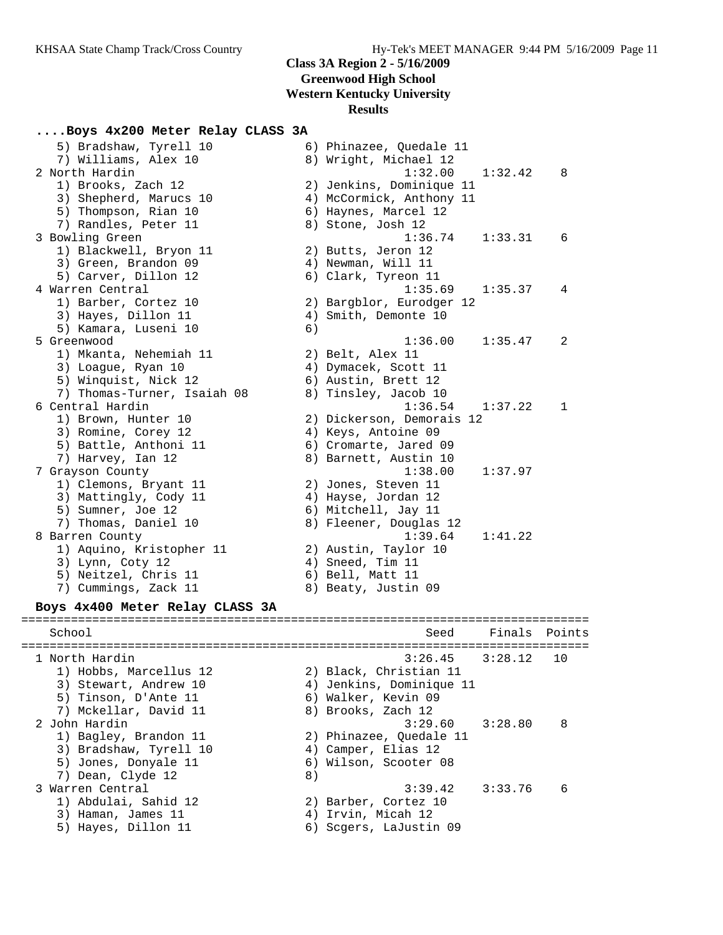### **....Boys 4x200 Meter Relay CLASS 3A**

 5) Bradshaw, Tyrell 10 6) Phinazee, Quedale 11 7) Williams, Alex 10 8) Wright, Michael 12 2 North Hardin 1:32.00 1:32.42 8 1) Brooks, Zach 12 2) Jenkins, Dominique 11 3) Shepherd, Marucs 10 4) McCormick, Anthony 11 5) Thompson, Rian 10 (6) Haynes, Marcel 12 7) Randles, Peter 11 and 8) Stone, Josh 12 3 Bowling Green 1:36.74 1:33.31 6 1) Blackwell, Bryon 11 2) Butts, Jeron 12 3) Green, Brandon 09 (4) Newman, Will 11 5) Carver, Dillon 12 (6) Clark, Tyreon 11 4 Warren Central 1:35.69 1:35.37 4 1) Barber, Cortez 10 2) Bargblor, Eurodger 12 3) Hayes, Dillon 11 (4) Smith, Demonte 10 5) Kamara, Luseni 10 6) 5 Greenwood 1:36.00 1:35.47 2 1) Mkanta, Nehemiah 11 2) Belt, Alex 11 3) Loague, Ryan 10 (4) Dymacek, Scott 11 5) Winquist, Nick 12 6) Austin, Brett 12 7) Thomas-Turner, Isaiah 08  $\hphantom{\text{2.65}$  8) Tinsley, Jacob 10 6 Central Hardin 1:36.54 1:37.22 1 1) Brown, Hunter 10 2) Dickerson, Demorais 12 3) Romine, Corey 12 4) Keys, Antoine 09 5) Battle, Anthoni 11 6) Cromarte, Jared 09 7) Harvey, Ian 12 8) Barnett, Austin 10 7 Grayson County 1:38.00 1:37.97 1) Clemons, Bryant 11 (2) Jones, Steven 11 3) Mattingly, Cody 11 4) Hayse, Jordan 12 5) Sumner, Joe 12 (5) Mitchell, Jay 11 7) Thomas, Daniel 10 8) Fleener, Douglas 12 8 Barren County 1:39.64 1:41.22 1) Aquino, Kristopher 11 (2) Austin, Taylor 10 3) Lynn, Coty 12 (4) Sneed, Tim 11 5) Neitzel, Chris 11 (6) Bell, Matt 11 7) Cummings, Zack 11 and 8) Beaty, Justin 09 **Boys 4x400 Meter Relay CLASS 3A** ================================================================================ School Seed Finals Points ================================================================================

 1 North Hardin 3:26.45 3:28.12 10 1) Hobbs, Marcellus 12 2) Black, Christian 11 3) Stewart, Andrew 10 4) Jenkins, Dominique 11 5) Tinson, D'Ante 11 (6) Walker, Kevin 09 7) Mckellar, David 11 and 8) Brooks, Zach 12 2 John Hardin 3:29.60 3:28.80 8 1) Bagley, Brandon 11 2) Phinazee, Quedale 11 3) Bradshaw, Tyrell 10 4) Camper, Elias 12 5) Jones, Donyale 11 6) Wilson, Scooter 08 7) Dean, Clyde 12 (8) 3 Warren Central 3:39.42 3:33.76 6 1) Abdulai, Sahid 12 2) Barber, Cortez 10 3) Haman, James 11 (4) Irvin, Micah 12 5) Hayes, Dillon 11 6) Scgers, LaJustin 09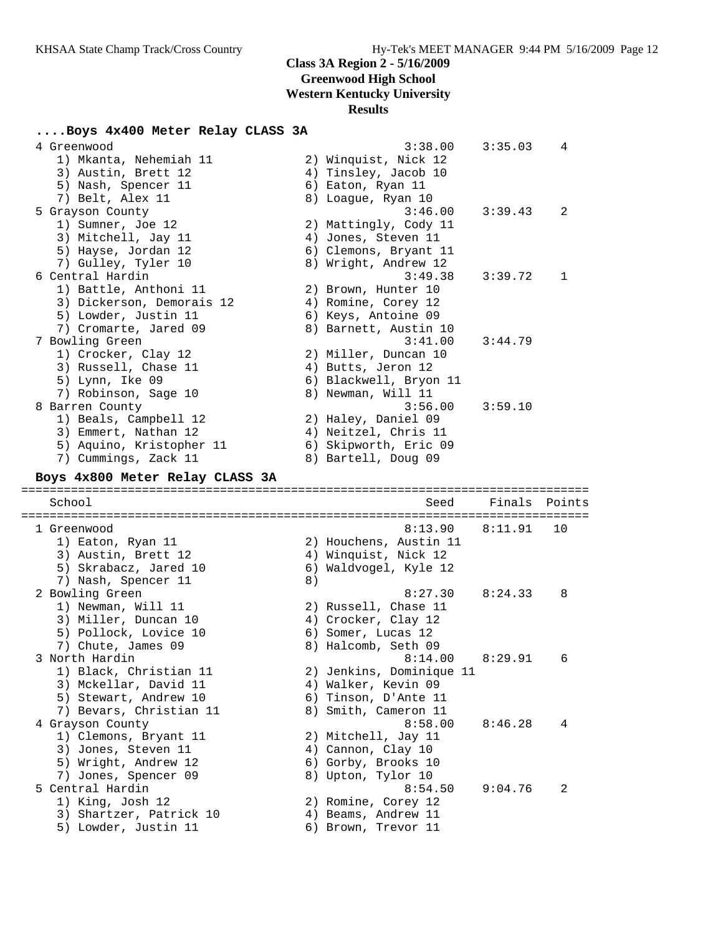# **Class 3A Region 2 - 5/16/2009**

**Greenwood High School**

**Western Kentucky University**

# **Results**

# **....Boys 4x400 Meter Relay CLASS 3A**

| 4 Greenwood                                     |    | 3:38.00                                    | 3:35.03 | 4      |
|-------------------------------------------------|----|--------------------------------------------|---------|--------|
| 1) Mkanta, Nehemiah 11                          |    | 2) Winquist, Nick 12                       |         |        |
| 3) Austin, Brett 12                             |    | 4) Tinsley, Jacob 10                       |         |        |
| 5) Nash, Spencer 11                             |    | 6) Eaton, Ryan 11                          |         |        |
| 7) Belt, Alex 11                                |    | 8) Loague, Ryan 10                         |         |        |
| 5 Grayson County                                |    | 3:46.00                                    | 3:39.43 | 2      |
| 1) Sumner, Joe 12                               |    | 2) Mattingly, Cody 11                      |         |        |
| 3) Mitchell, Jay 11                             |    | 4) Jones, Steven 11                        |         |        |
| 5) Hayse, Jordan 12                             |    | 6) Clemons, Bryant 11                      |         |        |
| 7) Gulley, Tyler 10                             |    | 8) Wright, Andrew 12                       |         |        |
| 6 Central Hardin                                |    | 3:49.38                                    | 3:39.72 | 1      |
| 1) Battle, Anthoni 11                           |    | 2) Brown, Hunter 10                        |         |        |
| 3) Dickerson, Demorais 12                       |    | 4) Romine, Corey 12                        |         |        |
| 5) Lowder, Justin 11                            |    | 6) Keys, Antoine 09                        |         |        |
| 7) Cromarte, Jared 09                           |    | 8) Barnett, Austin 10                      |         |        |
| 7 Bowling Green                                 |    | 3:41.00                                    | 3:44.79 |        |
| 1) Crocker, Clay 12                             |    |                                            |         |        |
|                                                 |    | 2) Miller, Duncan 10                       |         |        |
| 3) Russell, Chase 11                            |    | 4) Butts, Jeron 12                         |         |        |
| 5) Lynn, Ike 09                                 |    | 6) Blackwell, Bryon 11                     |         |        |
| 7) Robinson, Sage 10                            |    | 8) Newman, Will 11                         |         |        |
| 8 Barren County                                 |    | 3:56.00                                    | 3:59.10 |        |
| 1) Beals, Campbell 12                           |    | 2) Haley, Daniel 09                        |         |        |
| 3) Emmert, Nathan 12                            |    | 4) Neitzel, Chris 11                       |         |        |
| 5) Aquino, Kristopher 11                        |    | 6) Skipworth, Eric 09                      |         |        |
| 7) Cummings, Zack 11                            |    | 8) Bartell, Doug 09                        |         |        |
| Boys 4x800 Meter Relay CLASS 3A                 |    |                                            |         |        |
|                                                 |    |                                            |         |        |
|                                                 |    |                                            |         |        |
| School                                          |    | Seed                                       | Finals  | Points |
|                                                 |    |                                            |         |        |
| 1 Greenwood                                     |    | 8:13.90                                    | 8:11.91 | 10     |
| 1) Eaton, Ryan 11                               |    | 2) Houchens, Austin 11                     |         |        |
| 3) Austin, Brett 12                             |    | 4) Winquist, Nick 12                       |         |        |
| 5) Skrabacz, Jared 10                           |    | 6) Waldvogel, Kyle 12                      |         |        |
| 7) Nash, Spencer 11                             | 8) |                                            |         |        |
| 2 Bowling Green                                 |    | 8:27.30                                    | 8:24.33 | 8      |
| 1) Newman, Will 11                              |    | 2) Russell, Chase 11                       |         |        |
| 3) Miller, Duncan 10                            |    | 4) Crocker, Clay 12                        |         |        |
| 5) Pollock, Lovice 10                           |    | 6) Somer, Lucas 12                         |         |        |
| 7) Chute, James 09                              |    | 8) Halcomb, Seth 09                        |         |        |
| 3 North Hardin                                  |    | 8:14.00                                    | 8:29.91 | 6      |
| 1) Black, Christian 11                          |    | 2) Jenkins, Dominique 11                   |         |        |
| 3) Mckellar, David 11                           |    | 4) Walker, Kevin 09                        |         |        |
| 5) Stewart, Andrew 10                           |    | 6) Tinson, D'Ante 11                       |         |        |
| 7) Bevars, Christian 11                         |    | 8) Smith, Cameron 11                       |         |        |
| 4 Grayson County                                |    | 8:58.00                                    | 8:46.28 | 4      |
| 1) Clemons, Bryant 11                           |    | 2) Mitchell, Jay 11                        |         |        |
| 3) Jones, Steven 11                             |    | 4) Cannon, Clay 10                         |         |        |
| 5) Wright, Andrew 12                            |    | 6) Gorby, Brooks 10                        |         |        |
| 7) Jones, Spencer 09                            |    | 8) Upton, Tylor 10                         |         |        |
| 5 Central Hardin                                |    | 8:54.50                                    | 9:04.76 | 2      |
| 1) King, Josh 12                                |    | 2) Romine, Corey 12                        |         |        |
| 3) Shartzer, Patrick 10<br>5) Lowder, Justin 11 |    | 4) Beams, Andrew 11<br>6) Brown, Trevor 11 |         |        |